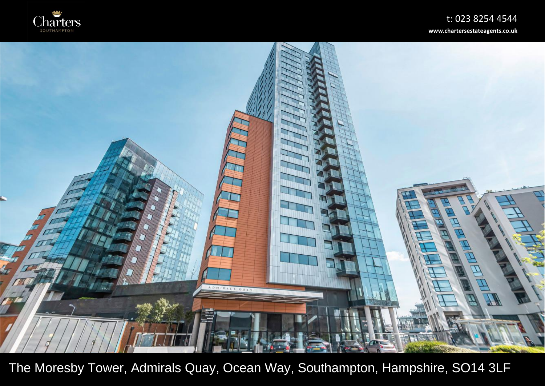



The Moresby Tower, Admirals Quay, Ocean Way, Southampton, Hampshire, SO14 3LF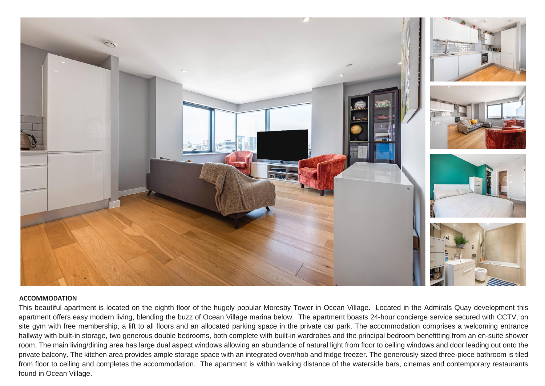

## **ACCOMMODATION**

This beautiful apartment is located on the eighth floor of the hugely popular Moresby Tower in Ocean Village. Located in the Admirals Quay development this apartment offers easy modern living, blending the buzz of Ocean Village marina below. The apartment boasts 24-hour concierge service secured with CCTV, on site gym with free membership, a lift to all floors and an allocated parking space in the private car park. The accommodation comprises a welcoming entrance hallway with built-in storage, two generous double bedrooms, both complete with built-in wardrobes and the principal bedroom benefitting from an en-suite shower room. The main living/dining area has large dual aspect windows allowing an abundance of natural light from floor to ceiling windows and door leading out onto the private balcony. The kitchen area provides ample storage space with an integrated oven/hob and fridge freezer. The generously sized three-piece bathroom is tiled from floor to ceiling and completes the accommodation. The apartment is within walking distance of the waterside bars, cinemas and contemporary restaurants found in Ocean Village.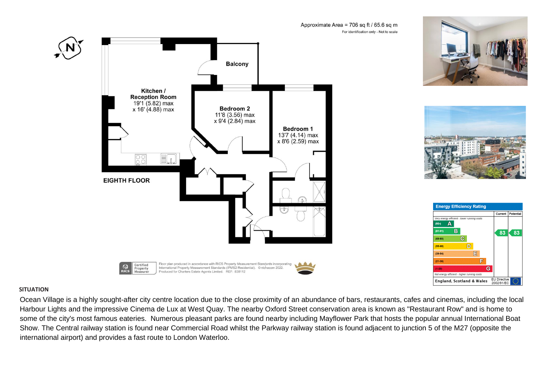





Approximate Area = 706 sq ft / 65.6 sq m For identification only - Not to scale



## **SITUATION**

Ocean Village is a highly sought-after city centre location due to the close proximity of an abundance of bars, restaurants, cafes and cinemas, including the local Harbour Lights and the impressive Cinema de Lux at West Quay. The nearby Oxford Street conservation area is known as "Restaurant Row" and is home to some of the city's most famous eateries. Numerous pleasant parks are found nearby including Mayflower Park that hosts the popular annual International Boat Show. The Central railway station is found near Commercial Road whilst the Parkway railway station is found adjacent to junction 5 of the M27 (opposite the international airport) and provides a fast route to London Waterloo.